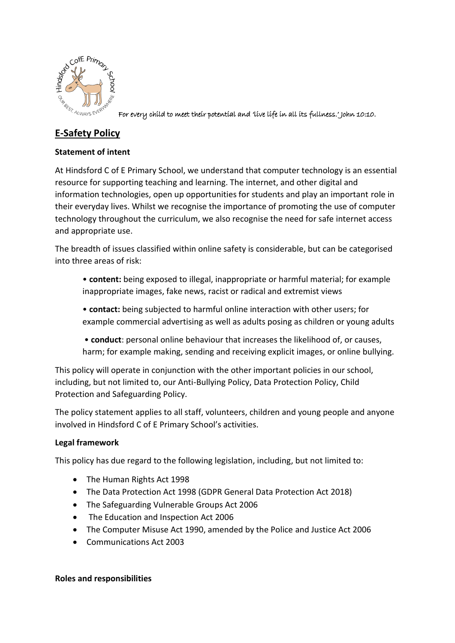

For every child to meet their potential and 'live life in all its fullness.' John 10:10.

# **E-Safety Policy**

# **Statement of intent**

At Hindsford C of E Primary School, we understand that computer technology is an essential resource for supporting teaching and learning. The internet, and other digital and information technologies, open up opportunities for students and play an important role in their everyday lives. Whilst we recognise the importance of promoting the use of computer technology throughout the curriculum, we also recognise the need for safe internet access and appropriate use.

The breadth of issues classified within online safety is considerable, but can be categorised into three areas of risk:

- **content:** being exposed to illegal, inappropriate or harmful material; for example inappropriate images, fake news, racist or radical and extremist views
- **contact:** being subjected to harmful online interaction with other users; for example commercial advertising as well as adults posing as children or young adults

• **conduct**: personal online behaviour that increases the likelihood of, or causes, harm; for example making, sending and receiving explicit images, or online bullying.

This policy will operate in conjunction with the other important policies in our school, including, but not limited to, our Anti-Bullying Policy, Data Protection Policy, Child Protection and Safeguarding Policy.

The policy statement applies to all staff, volunteers, children and young people and anyone involved in Hindsford C of E Primary School's activities.

# **Legal framework**

This policy has due regard to the following legislation, including, but not limited to:

- The Human Rights Act 1998
- The Data Protection Act 1998 (GDPR General Data Protection Act 2018)
- The Safeguarding Vulnerable Groups Act 2006
- The Education and Inspection Act 2006
- The Computer Misuse Act 1990, amended by the Police and Justice Act 2006
- Communications Act 2003

# **Roles and responsibilities**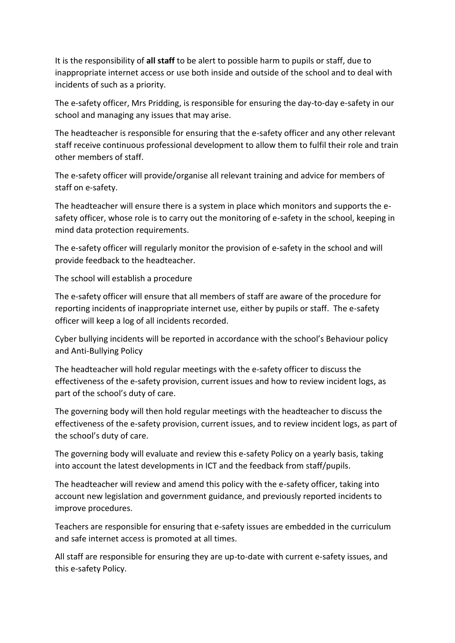It is the responsibility of **all staff** to be alert to possible harm to pupils or staff, due to inappropriate internet access or use both inside and outside of the school and to deal with incidents of such as a priority.

The e-safety officer, Mrs Pridding, is responsible for ensuring the day-to-day e-safety in our school and managing any issues that may arise.

The headteacher is responsible for ensuring that the e-safety officer and any other relevant staff receive continuous professional development to allow them to fulfil their role and train other members of staff.

The e-safety officer will provide/organise all relevant training and advice for members of staff on e-safety.

The headteacher will ensure there is a system in place which monitors and supports the esafety officer, whose role is to carry out the monitoring of e-safety in the school, keeping in mind data protection requirements.

The e-safety officer will regularly monitor the provision of e-safety in the school and will provide feedback to the headteacher.

The school will establish a procedure

The e-safety officer will ensure that all members of staff are aware of the procedure for reporting incidents of inappropriate internet use, either by pupils or staff. The e-safety officer will keep a log of all incidents recorded.

Cyber bullying incidents will be reported in accordance with the school's Behaviour policy and Anti-Bullying Policy

The headteacher will hold regular meetings with the e-safety officer to discuss the effectiveness of the e-safety provision, current issues and how to review incident logs, as part of the school's duty of care.

The governing body will then hold regular meetings with the headteacher to discuss the effectiveness of the e-safety provision, current issues, and to review incident logs, as part of the school's duty of care.

The governing body will evaluate and review this e-safety Policy on a yearly basis, taking into account the latest developments in ICT and the feedback from staff/pupils.

The headteacher will review and amend this policy with the e-safety officer, taking into account new legislation and government guidance, and previously reported incidents to improve procedures.

Teachers are responsible for ensuring that e-safety issues are embedded in the curriculum and safe internet access is promoted at all times.

All staff are responsible for ensuring they are up-to-date with current e-safety issues, and this e-safety Policy.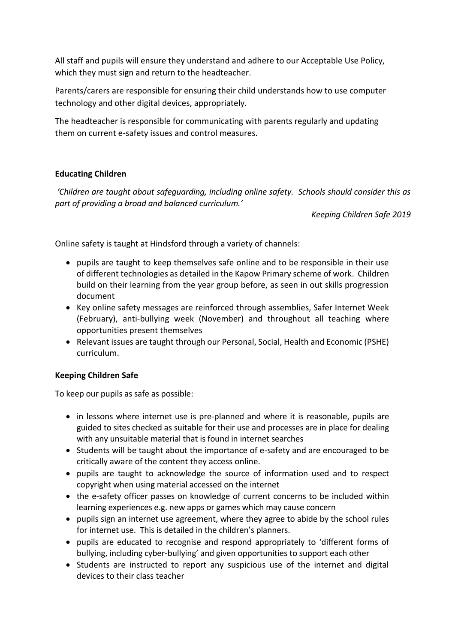All staff and pupils will ensure they understand and adhere to our Acceptable Use Policy, which they must sign and return to the headteacher.

Parents/carers are responsible for ensuring their child understands how to use computer technology and other digital devices, appropriately.

The headteacher is responsible for communicating with parents regularly and updating them on current e-safety issues and control measures.

# **Educating Children**

*'Children are taught about safeguarding, including online safety. Schools should consider this as part of providing a broad and balanced curriculum.'* 

*Keeping Children Safe 2019*

Online safety is taught at Hindsford through a variety of channels:

- pupils are taught to keep themselves safe online and to be responsible in their use of different technologies as detailed in the Kapow Primary scheme of work. Children build on their learning from the year group before, as seen in out skills progression document
- Key online safety messages are reinforced through assemblies, Safer Internet Week (February), anti-bullying week (November) and throughout all teaching where opportunities present themselves
- Relevant issues are taught through our Personal, Social, Health and Economic (PSHE) curriculum.

# **Keeping Children Safe**

To keep our pupils as safe as possible:

- in lessons where internet use is pre-planned and where it is reasonable, pupils are guided to sites checked as suitable for their use and processes are in place for dealing with any unsuitable material that is found in internet searches
- Students will be taught about the importance of e-safety and are encouraged to be critically aware of the content they access online.
- pupils are taught to acknowledge the source of information used and to respect copyright when using material accessed on the internet
- the e-safety officer passes on knowledge of current concerns to be included within learning experiences e.g. new apps or games which may cause concern
- pupils sign an internet use agreement, where they agree to abide by the school rules for internet use. This is detailed in the children's planners.
- pupils are educated to recognise and respond appropriately to 'different forms of bullying, including cyber-bullying' and given opportunities to support each other
- Students are instructed to report any suspicious use of the internet and digital devices to their class teacher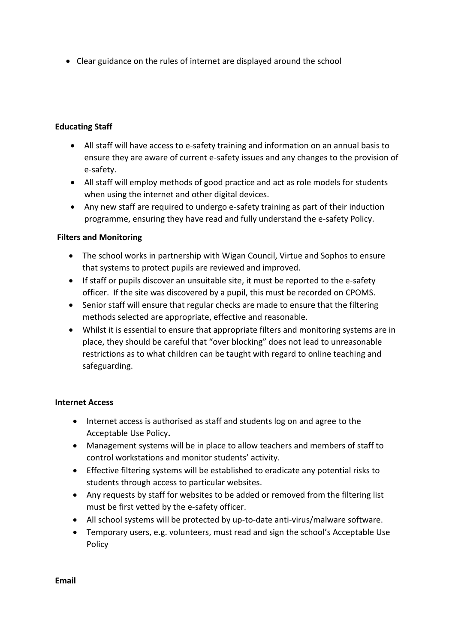Clear guidance on the rules of internet are displayed around the school

# **Educating Staff**

- All staff will have access to e-safety training and information on an annual basis to ensure they are aware of current e-safety issues and any changes to the provision of e-safety.
- All staff will employ methods of good practice and act as role models for students when using the internet and other digital devices.
- Any new staff are required to undergo e-safety training as part of their induction programme, ensuring they have read and fully understand the e-safety Policy.

# **Filters and Monitoring**

- The school works in partnership with Wigan Council, Virtue and Sophos to ensure that systems to protect pupils are reviewed and improved.
- If staff or pupils discover an unsuitable site, it must be reported to the e-safety officer. If the site was discovered by a pupil, this must be recorded on CPOMS.
- Senior staff will ensure that regular checks are made to ensure that the filtering methods selected are appropriate, effective and reasonable.
- Whilst it is essential to ensure that appropriate filters and monitoring systems are in place, they should be careful that "over blocking" does not lead to unreasonable restrictions as to what children can be taught with regard to online teaching and safeguarding.

#### **Internet Access**

- Internet access is authorised as staff and students log on and agree to the Acceptable Use Policy**.**
- Management systems will be in place to allow teachers and members of staff to control workstations and monitor students' activity.
- Effective filtering systems will be established to eradicate any potential risks to students through access to particular websites.
- Any requests by staff for websites to be added or removed from the filtering list must be first vetted by the e-safety officer.
- All school systems will be protected by up-to-date anti-virus/malware software.
- Temporary users, e.g. volunteers, must read and sign the school's Acceptable Use Policy

**Email**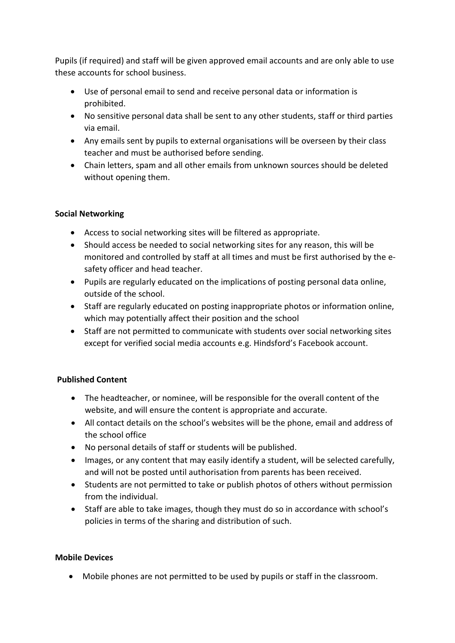Pupils (if required) and staff will be given approved email accounts and are only able to use these accounts for school business.

- Use of personal email to send and receive personal data or information is prohibited.
- No sensitive personal data shall be sent to any other students, staff or third parties via email.
- Any emails sent by pupils to external organisations will be overseen by their class teacher and must be authorised before sending.
- Chain letters, spam and all other emails from unknown sources should be deleted without opening them.

# **Social Networking**

- Access to social networking sites will be filtered as appropriate.
- Should access be needed to social networking sites for any reason, this will be monitored and controlled by staff at all times and must be first authorised by the esafety officer and head teacher.
- Pupils are regularly educated on the implications of posting personal data online, outside of the school.
- Staff are regularly educated on posting inappropriate photos or information online, which may potentially affect their position and the school
- Staff are not permitted to communicate with students over social networking sites except for verified social media accounts e.g. Hindsford's Facebook account.

# **Published Content**

- The headteacher, or nominee, will be responsible for the overall content of the website, and will ensure the content is appropriate and accurate.
- All contact details on the school's websites will be the phone, email and address of the school office
- No personal details of staff or students will be published.
- Images, or any content that may easily identify a student, will be selected carefully, and will not be posted until authorisation from parents has been received.
- Students are not permitted to take or publish photos of others without permission from the individual.
- Staff are able to take images, though they must do so in accordance with school's policies in terms of the sharing and distribution of such.

# **Mobile Devices**

Mobile phones are not permitted to be used by pupils or staff in the classroom.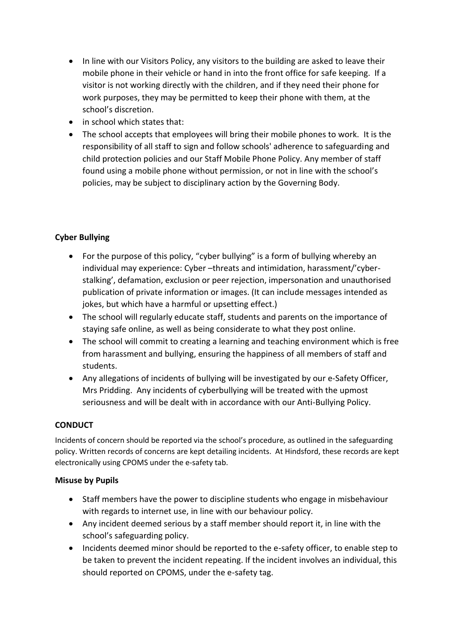- In line with our Visitors Policy, any visitors to the building are asked to leave their mobile phone in their vehicle or hand in into the front office for safe keeping. If a visitor is not working directly with the children, and if they need their phone for work purposes, they may be permitted to keep their phone with them, at the school's discretion.
- in school which states that:
- The school accepts that employees will bring their mobile phones to work. It is the responsibility of all staff to sign and follow schools' adherence to safeguarding and child protection policies and our Staff Mobile Phone Policy. Any member of staff found using a mobile phone without permission, or not in line with the school's policies, may be subject to disciplinary action by the Governing Body.

# **Cyber Bullying**

- For the purpose of this policy, "cyber bullying" is a form of bullying whereby an individual may experience: Cyber –threats and intimidation, harassment/'cyberstalking', defamation, exclusion or peer rejection, impersonation and unauthorised publication of private information or images. (It can include messages intended as jokes, but which have a harmful or upsetting effect.)
- The school will regularly educate staff, students and parents on the importance of staying safe online, as well as being considerate to what they post online.
- The school will commit to creating a learning and teaching environment which is free from harassment and bullying, ensuring the happiness of all members of staff and students.
- Any allegations of incidents of bullying will be investigated by our e-Safety Officer, Mrs Pridding. Any incidents of cyberbullying will be treated with the upmost seriousness and will be dealt with in accordance with our Anti-Bullying Policy.

# **CONDUCT**

Incidents of concern should be reported via the school's procedure, as outlined in the safeguarding policy. Written records of concerns are kept detailing incidents. At Hindsford, these records are kept electronically using CPOMS under the e-safety tab.

# **Misuse by Pupils**

- Staff members have the power to discipline students who engage in misbehaviour with regards to internet use, in line with our behaviour policy.
- Any incident deemed serious by a staff member should report it, in line with the school's safeguarding policy.
- Incidents deemed minor should be reported to the e-safety officer, to enable step to be taken to prevent the incident repeating. If the incident involves an individual, this should reported on CPOMS, under the e-safety tag.